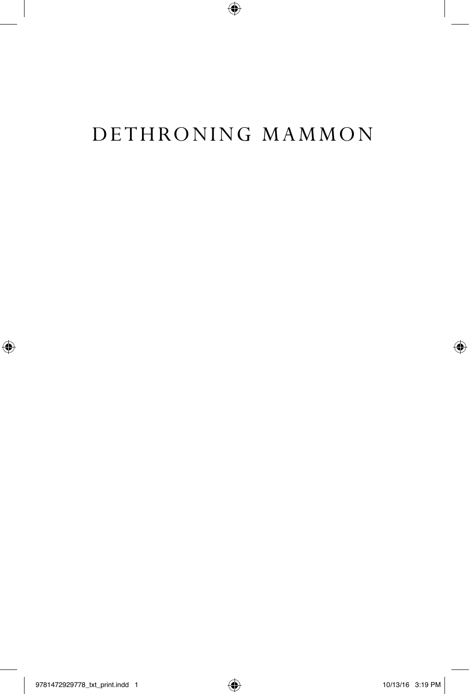# Dethroning Mammon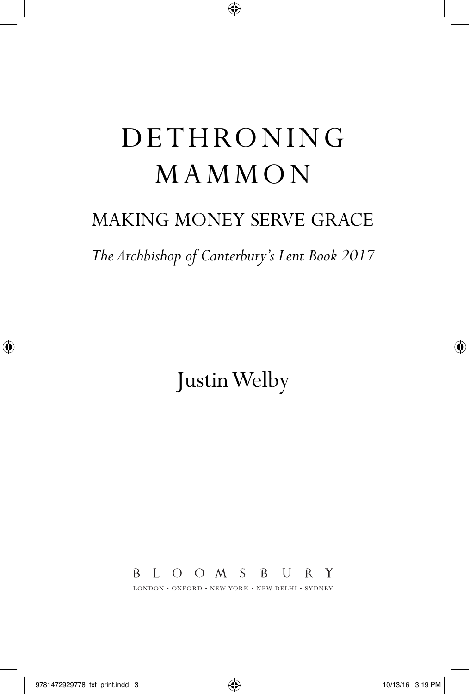# **DETHRONING** MAMMON

## Making Money Serve Grace

*The Archbishop of Canterbury's Lent Book 2017*

Justin Welby

B L O O M S B U R Y

LONDON • OXFORD • NEW YORK • NEW DELHI • SYDNEY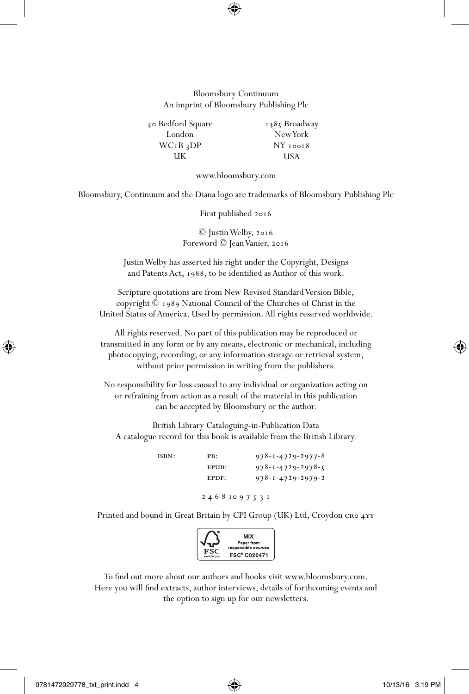#### Bloomsbury Continuum An imprint of Bloomsbury Publishing Plc

50 Bedford Square London WC1B 3DP UK 1385 Broadway New York NY 10018 USA

www.bloomsbury.com

bloomsbury, continuum and the Diana logo are trademarks of Bloomsbury Publishing Plc

First published 2016

© Justin Welby, 2016 Foreword © Jean Vanier, 2016

Justin Welby has asserted his right under the Copyright, Designs and Patents Act, 1988, to be identified as Author of this work.

Scripture quotations are from New Revised Standard Version Bible, copyright © 1989 National Council of the Churches of Christ in the United States of America. Used by permission. All rights reserved worldwide.

All rights reserved. No part of this publication may be reproduced or transmitted in any form or by any means, electronic or mechanical, including photocopying, recording, or any information storage or retrieval system, without prior permission in writing from the publishers.

No responsibility for loss caused to any individual or organization acting on or refraining from action as a result of the material in this publication can be accepted by Bloomsbury or the author.

British Library Cataloguing-in-Publication Data A catalogue record for this book is available from the British Library.

> ISBN: PB:  $978 - 1 - 4729 - 2977 - 8$  epub: 978-1-4729-2978-5 EPDF:  $978 - 1 - 4729 - 2979 - 2$ 2 4 6 8 10 9 7 5 3 1

Printed and bound in Great Britain by CPI Group (UK) Ltd, Croydon CRO 4YY



To find out more about our authors and books visit www.bloomsbury.com. Here you will find extracts, author interviews, details of forthcoming events and the option to sign up for our newsletters.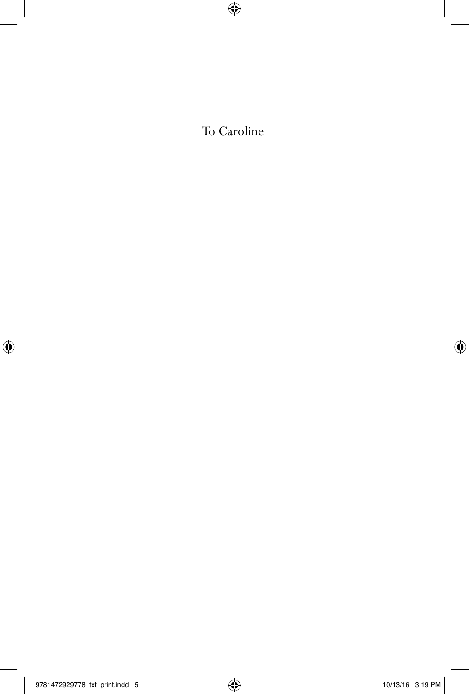To Caroline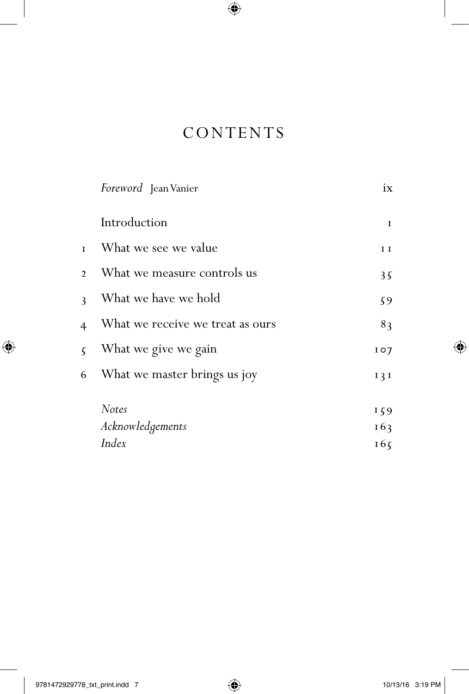### **CONTENTS**

|                | Foreword Jean Vanier             | ix           |
|----------------|----------------------------------|--------------|
|                | Introduction                     | $\mathbf{I}$ |
| $\mathbf{I}$   | What we see we value             | $I$ $I$      |
| $\mathcal{D}$  | What we measure controls us      | 35           |
| $\mathbf{3}$   | What we have we hold             | 59           |
| $\overline{4}$ | What we receive we treat as ours | 83           |
| $\sqrt{2}$     | What we give we gain             | 107          |
| 6              | What we master brings us joy     | 131          |
|                | <b>Notes</b>                     | 159          |
|                | Acknowledgements                 | 163          |
|                | Index                            | 165          |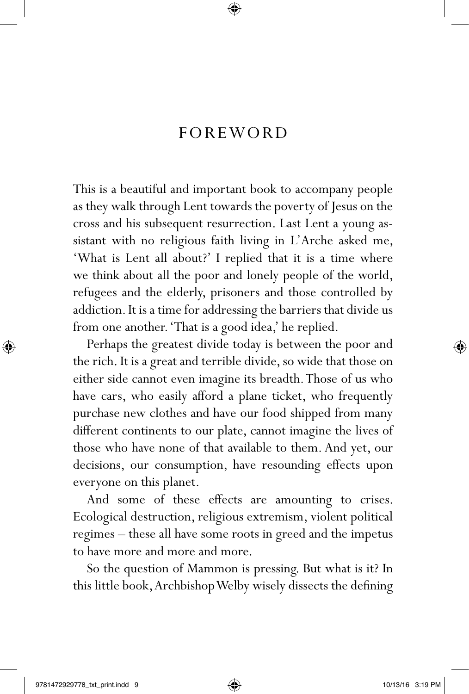### **FOREWORD**

This is a beautiful and important book to accompany people as they walk through Lent towards the poverty of Jesus on the cross and his subsequent resurrection. Last Lent a young assistant with no religious faith living in L'Arche asked me, 'What is Lent all about?' I replied that it is a time where we think about all the poor and lonely people of the world, refugees and the elderly, prisoners and those controlled by addiction. It is a time for addressing the barriers that divide us from one another. 'That is a good idea,' he replied.

Perhaps the greatest divide today is between the poor and the rich. It is a great and terrible divide, so wide that those on either side cannot even imagine its breadth. Those of us who have cars, who easily afford a plane ticket, who frequently purchase new clothes and have our food shipped from many different continents to our plate, cannot imagine the lives of those who have none of that available to them. And yet, our decisions, our consumption, have resounding effects upon everyone on this planet.

And some of these effects are amounting to crises. Ecological destruction, religious extremism, violent political regimes – these all have some roots in greed and the impetus to have more and more and more.

So the question of Mammon is pressing. But what is it? In this little book, Archbishop Welby wisely dissects the defining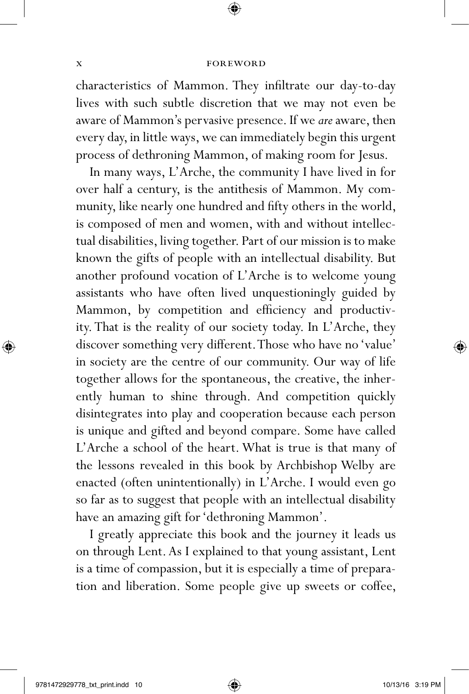#### x **foreword**

characteristics of Mammon. They infiltrate our day-to-day lives with such subtle discretion that we may not even be aware of Mammon's pervasive presence. If we *are* aware, then every day, in little ways, we can immediately begin this urgent process of dethroning Mammon, of making room for Jesus.

In many ways, L'Arche, the community I have lived in for over half a century, is the antithesis of Mammon. My community, like nearly one hundred and fifty others in the world, is composed of men and women, with and without intellectual disabilities, living together. Part of our mission is to make known the gifts of people with an intellectual disability. But another profound vocation of L'Arche is to welcome young assistants who have often lived unquestioningly guided by Mammon, by competition and efficiency and productivity. That is the reality of our society today. In L'Arche, they discover something very different. Those who have no 'value' in society are the centre of our community. Our way of life together allows for the spontaneous, the creative, the inherently human to shine through. And competition quickly disintegrates into play and cooperation because each person is unique and gifted and beyond compare. Some have called L'Arche a school of the heart. What is true is that many of the lessons revealed in this book by Archbishop Welby are enacted (often unintentionally) in L'Arche. I would even go so far as to suggest that people with an intellectual disability have an amazing gift for 'dethroning Mammon'.

I greatly appreciate this book and the journey it leads us on through Lent. As I explained to that young assistant, Lent is a time of compassion, but it is especially a time of preparation and liberation. Some people give up sweets or coffee,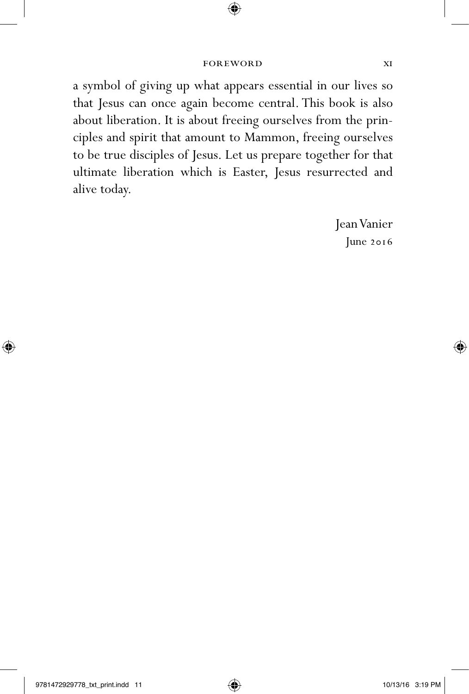a symbol of giving up what appears essential in our lives so that Jesus can once again become central. This book is also about liberation. It is about freeing ourselves from the principles and spirit that amount to Mammon, freeing ourselves to be true disciples of Jesus. Let us prepare together for that ultimate liberation which is Easter, Jesus resurrected and alive today.

> Jean Vanier June 2016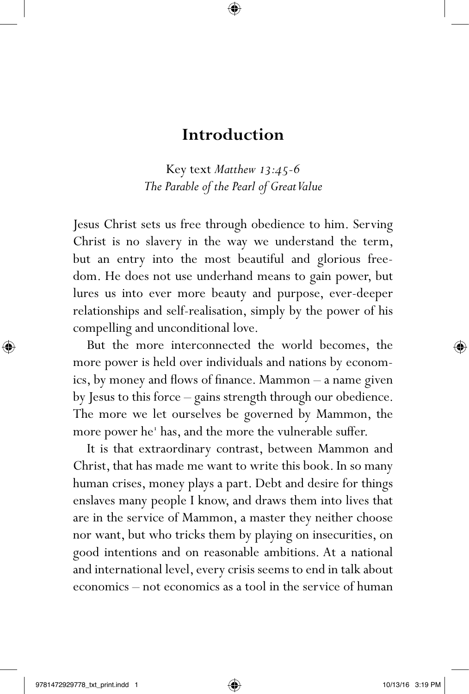### **Introduction**

Key text *Matthew 13:45-6 The Parable of the Pearl of Great Value*

Jesus Christ sets us free through obedience to him. Serving Christ is no slavery in the way we understand the term, but an entry into the most beautiful and glorious freedom. He does not use underhand means to gain power, but lures us into ever more beauty and purpose, ever-deeper relationships and self-realisation, simply by the power of his compelling and unconditional love.

But the more interconnected the world becomes, the more power is held over individuals and nations by economics, by money and flows of finance. Mammon – a name given by Jesus to this force – gains strength through our obedience. The more we let ourselves be governed by Mammon, the more power he<sup>1</sup> has, and the more the vulnerable suffer.

It is that extraordinary contrast, between Mammon and Christ, that has made me want to write this book. In so many human crises, money plays a part. Debt and desire for things enslaves many people I know, and draws them into lives that are in the service of Mammon, a master they neither choose nor want, but who tricks them by playing on insecurities, on good intentions and on reasonable ambitions. At a national and international level, every crisis seems to end in talk about economics – not economics as a tool in the service of human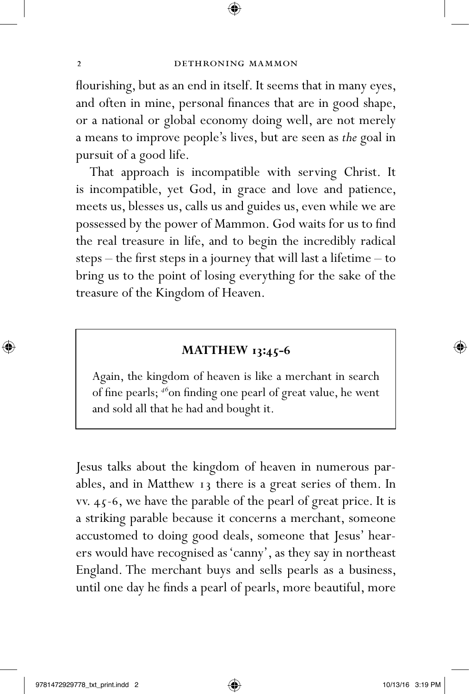flourishing, but as an end in itself. It seems that in many eyes, and often in mine, personal finances that are in good shape, or a national or global economy doing well, are not merely a means to improve people's lives, but are seen as *the* goal in pursuit of a good life.

That approach is incompatible with serving Christ. It is incompatible, yet God, in grace and love and patience, meets us, blesses us, calls us and guides us, even while we are possessed by the power of Mammon. God waits for us to find the real treasure in life, and to begin the incredibly radical steps – the first steps in a journey that will last a lifetime – to bring us to the point of losing everything for the sake of the treasure of the Kingdom of Heaven.

#### **MATTHEW 13:45-6**

Again, the kingdom of heaven is like a merchant in search of fine pearls; *<sup>46</sup>*on finding one pearl of great value, he went and sold all that he had and bought it.

Jesus talks about the kingdom of heaven in numerous parables, and in Matthew 13 there is a great series of them. In vv. 45-6, we have the parable of the pearl of great price. It is a striking parable because it concerns a merchant, someone accustomed to doing good deals, someone that Jesus' hearers would have recognised as 'canny', as they say in northeast England. The merchant buys and sells pearls as a business, until one day he finds a pearl of pearls, more beautiful, more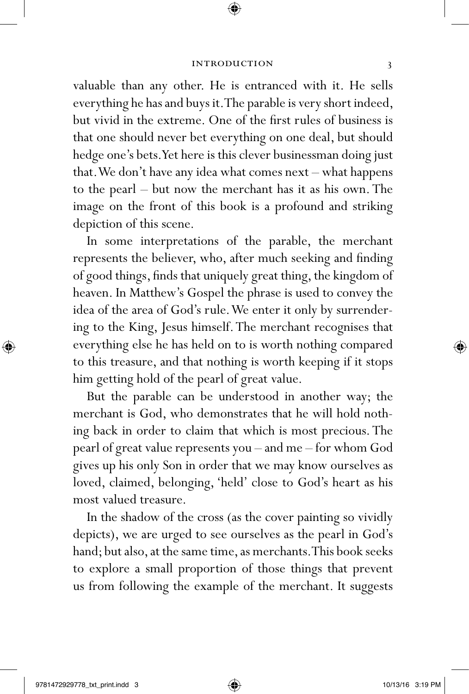valuable than any other. He is entranced with it. He sells everything he has and buys it. The parable is very short indeed, but vivid in the extreme. One of the first rules of business is that one should never bet everything on one deal, but should hedge one's bets. Yet here is this clever businessman doing just that. We don't have any idea what comes next – what happens to the pearl – but now the merchant has it as his own. The image on the front of this book is a profound and striking depiction of this scene.

In some interpretations of the parable, the merchant represents the believer, who, after much seeking and finding of good things, finds that uniquely great thing, the kingdom of heaven. In Matthew's Gospel the phrase is used to convey the idea of the area of God's rule. We enter it only by surrendering to the King, Jesus himself. The merchant recognises that everything else he has held on to is worth nothing compared to this treasure, and that nothing is worth keeping if it stops him getting hold of the pearl of great value.

But the parable can be understood in another way; the merchant is God, who demonstrates that he will hold nothing back in order to claim that which is most precious. The pearl of great value represents you – and me – for whom God gives up his only Son in order that we may know ourselves as loved, claimed, belonging, 'held' close to God's heart as his most valued treasure.

In the shadow of the cross (as the cover painting so vividly depicts), we are urged to see ourselves as the pearl in God's hand; but also, at the same time, as merchants. This book seeks to explore a small proportion of those things that prevent us from following the example of the merchant. It suggests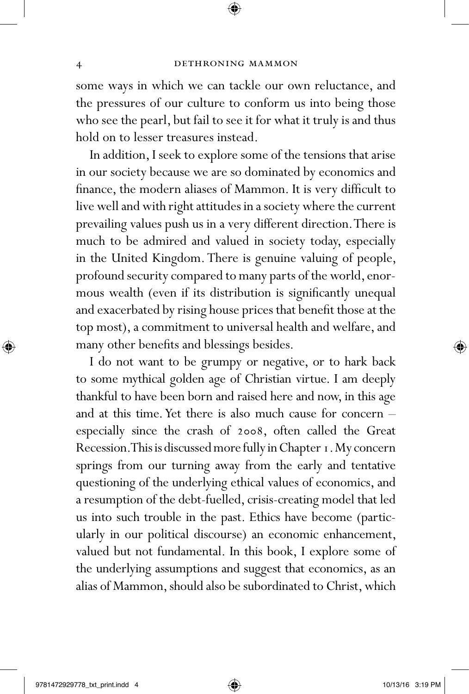some ways in which we can tackle our own reluctance, and the pressures of our culture to conform us into being those who see the pearl, but fail to see it for what it truly is and thus hold on to lesser treasures instead.

In addition, I seek to explore some of the tensions that arise in our society because we are so dominated by economics and finance, the modern aliases of Mammon. It is very difficult to live well and with right attitudes in a society where the current prevailing values push us in a very different direction. There is much to be admired and valued in society today, especially in the United Kingdom. There is genuine valuing of people, profound security compared to many parts of the world, enormous wealth (even if its distribution is significantly unequal and exacerbated by rising house prices that benefit those at the top most), a commitment to universal health and welfare, and many other benefits and blessings besides.

I do not want to be grumpy or negative, or to hark back to some mythical golden age of Christian virtue. I am deeply thankful to have been born and raised here and now, in this age and at this time. Yet there is also much cause for concern – especially since the crash of 2008, often called the Great Recession. This is discussed more fully in Chapter 1. My concern springs from our turning away from the early and tentative questioning of the underlying ethical values of economics, and a resumption of the debt-fuelled, crisis-creating model that led us into such trouble in the past. Ethics have become (particularly in our political discourse) an economic enhancement, valued but not fundamental. In this book, I explore some of the underlying assumptions and suggest that economics, as an alias of Mammon, should also be subordinated to Christ, which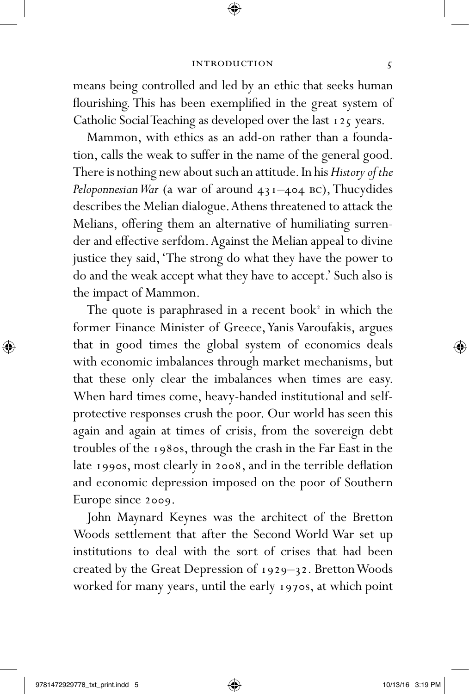means being controlled and led by an ethic that seeks human flourishing. This has been exemplified in the great system of Catholic Social Teaching as developed over the last 125 years.

Mammon, with ethics as an add-on rather than a foundation, calls the weak to suffer in the name of the general good. There is nothing new about such an attitude. In his *History of the Peloponnesian War* (a war of around 431–404 bc), Thucydides describes the Melian dialogue. Athens threatened to attack the Melians, offering them an alternative of humiliating surrender and effective serfdom. Against the Melian appeal to divine justice they said, 'The strong do what they have the power to do and the weak accept what they have to accept.' Such also is the impact of Mammon.

The quote is paraphrased in a recent book<sup>2</sup> in which the former Finance Minister of Greece, Yanis Varoufakis, argues that in good times the global system of economics deals with economic imbalances through market mechanisms, but that these only clear the imbalances when times are easy. When hard times come, heavy-handed institutional and selfprotective responses crush the poor. Our world has seen this again and again at times of crisis, from the sovereign debt troubles of the 1980s, through the crash in the Far East in the late 1990s, most clearly in 2008, and in the terrible deflation and economic depression imposed on the poor of Southern Europe since 2009.

John Maynard Keynes was the architect of the Bretton Woods settlement that after the Second World War set up institutions to deal with the sort of crises that had been created by the Great Depression of 1929–32. Bretton Woods worked for many years, until the early 1970s, at which point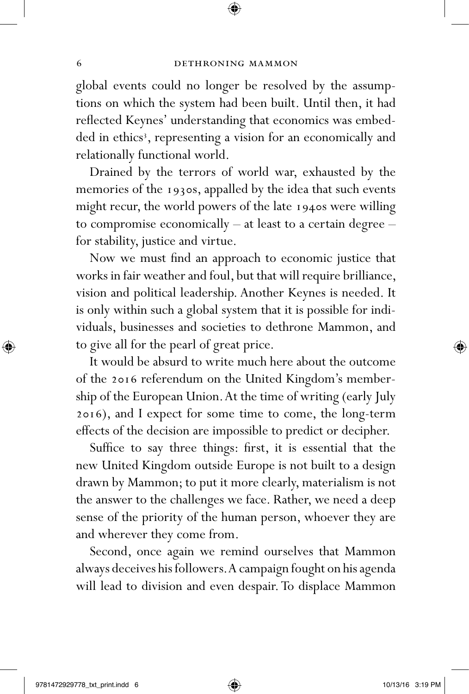global events could no longer be resolved by the assumptions on which the system had been built. Until then, it had reflected Keynes' understanding that economics was embedded in ethics<sup>3</sup>, representing a vision for an economically and relationally functional world.

Drained by the terrors of world war, exhausted by the memories of the 1930s, appalled by the idea that such events might recur, the world powers of the late 1940s were willing to compromise economically – at least to a certain degree – for stability, justice and virtue.

Now we must find an approach to economic justice that works in fair weather and foul, but that will require brilliance, vision and political leadership. Another Keynes is needed. It is only within such a global system that it is possible for individuals, businesses and societies to dethrone Mammon, and to give all for the pearl of great price.

It would be absurd to write much here about the outcome of the 2016 referendum on the United Kingdom's membership of the European Union. At the time of writing (early July 2016), and I expect for some time to come, the long-term effects of the decision are impossible to predict or decipher.

Suffice to say three things: first, it is essential that the new United Kingdom outside Europe is not built to a design drawn by Mammon; to put it more clearly, materialism is not the answer to the challenges we face. Rather, we need a deep sense of the priority of the human person, whoever they are and wherever they come from.

Second, once again we remind ourselves that Mammon always deceives his followers. A campaign fought on his agenda will lead to division and even despair. To displace Mammon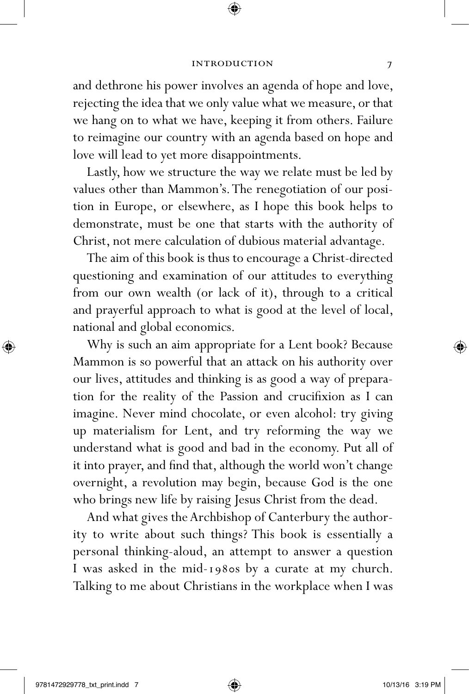and dethrone his power involves an agenda of hope and love, rejecting the idea that we only value what we measure, or that we hang on to what we have, keeping it from others. Failure to reimagine our country with an agenda based on hope and love will lead to yet more disappointments.

Lastly, how we structure the way we relate must be led by values other than Mammon's. The renegotiation of our position in Europe, or elsewhere, as I hope this book helps to demonstrate, must be one that starts with the authority of Christ, not mere calculation of dubious material advantage.

The aim of this book is thus to encourage a Christ-directed questioning and examination of our attitudes to everything from our own wealth (or lack of it), through to a critical and prayerful approach to what is good at the level of local, national and global economics.

Why is such an aim appropriate for a Lent book? Because Mammon is so powerful that an attack on his authority over our lives, attitudes and thinking is as good a way of preparation for the reality of the Passion and crucifixion as I can imagine. Never mind chocolate, or even alcohol: try giving up materialism for Lent, and try reforming the way we understand what is good and bad in the economy. Put all of it into prayer, and find that, although the world won't change overnight, a revolution may begin, because God is the one who brings new life by raising Jesus Christ from the dead.

And what gives the Archbishop of Canterbury the authority to write about such things? This book is essentially a personal thinking-aloud, an attempt to answer a question I was asked in the mid-1980s by a curate at my church. Talking to me about Christians in the workplace when I was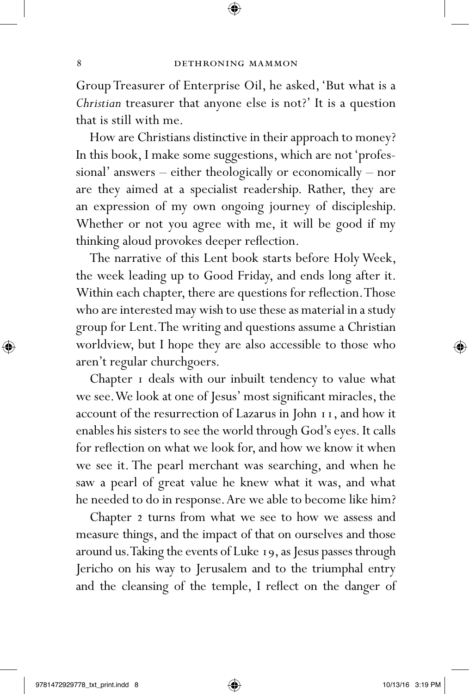Group Treasurer of Enterprise Oil, he asked, 'But what is a *Christian* treasurer that anyone else is not?' It is a question that is still with me.

How are Christians distinctive in their approach to money? In this book, I make some suggestions, which are not 'professional' answers – either theologically or economically – nor are they aimed at a specialist readership. Rather, they are an expression of my own ongoing journey of discipleship. Whether or not you agree with me, it will be good if my thinking aloud provokes deeper reflection.

The narrative of this Lent book starts before Holy Week, the week leading up to Good Friday, and ends long after it. Within each chapter, there are questions for reflection. Those who are interested may wish to use these as material in a study group for Lent. The writing and questions assume a Christian worldview, but I hope they are also accessible to those who aren't regular churchgoers.

Chapter 1 deals with our inbuilt tendency to value what we see. We look at one of Jesus' most significant miracles, the account of the resurrection of Lazarus in John 11, and how it enables his sisters to see the world through God's eyes. It calls for reflection on what we look for, and how we know it when we see it. The pearl merchant was searching, and when he saw a pearl of great value he knew what it was, and what he needed to do in response. Are we able to become like him?

Chapter 2 turns from what we see to how we assess and measure things, and the impact of that on ourselves and those around us. Taking the events of Luke 19, as Jesus passes through Jericho on his way to Jerusalem and to the triumphal entry and the cleansing of the temple, I reflect on the danger of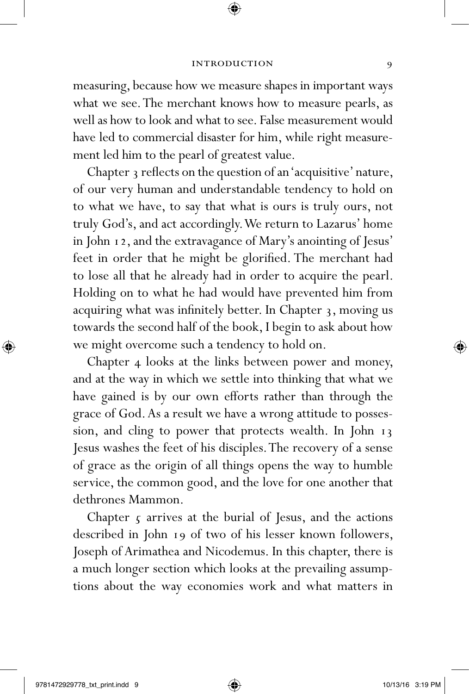measuring, because how we measure shapes in important ways what we see. The merchant knows how to measure pearls, as well as how to look and what to see. False measurement would have led to commercial disaster for him, while right measurement led him to the pearl of greatest value.

Chapter 3 reflects on the question of an 'acquisitive' nature, of our very human and understandable tendency to hold on to what we have, to say that what is ours is truly ours, not truly God's, and act accordingly. We return to Lazarus' home in John 12, and the extravagance of Mary's anointing of Jesus' feet in order that he might be glorified. The merchant had to lose all that he already had in order to acquire the pearl. Holding on to what he had would have prevented him from acquiring what was infinitely better. In Chapter 3, moving us towards the second half of the book, I begin to ask about how we might overcome such a tendency to hold on.

Chapter 4 looks at the links between power and money, and at the way in which we settle into thinking that what we have gained is by our own efforts rather than through the grace of God. As a result we have a wrong attitude to possession, and cling to power that protects wealth. In John 13 Jesus washes the feet of his disciples. The recovery of a sense of grace as the origin of all things opens the way to humble service, the common good, and the love for one another that dethrones Mammon.

Chapter  $\zeta$  arrives at the burial of Jesus, and the actions described in John 19 of two of his lesser known followers, Joseph of Arimathea and Nicodemus. In this chapter, there is a much longer section which looks at the prevailing assumptions about the way economies work and what matters in